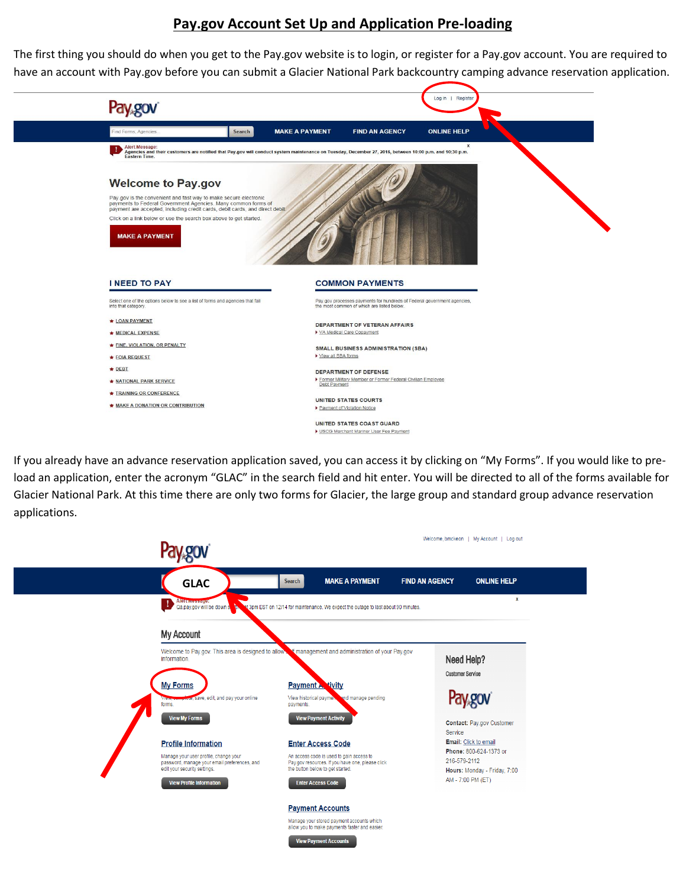## **Pay.gov Account Set Up and Application Pre-loading**

The first thing you should do when you get to the Pay.gov website is to login, or register for a Pay.gov account. You are required to have an account with Pay.gov before you can submit a Glacier National Park backcountry camping advance reservation application.



If you already have an advance reservation application saved, you can access it by clicking on "My Forms". If you would like to preload an application, enter the acronym "GLAC" in the search field and hit enter. You will be directed to all of the forms available for Glacier National Park. At this time there are only two forms for Glacier, the large group and standard group advance reservation applications.



**View Payment Accounts**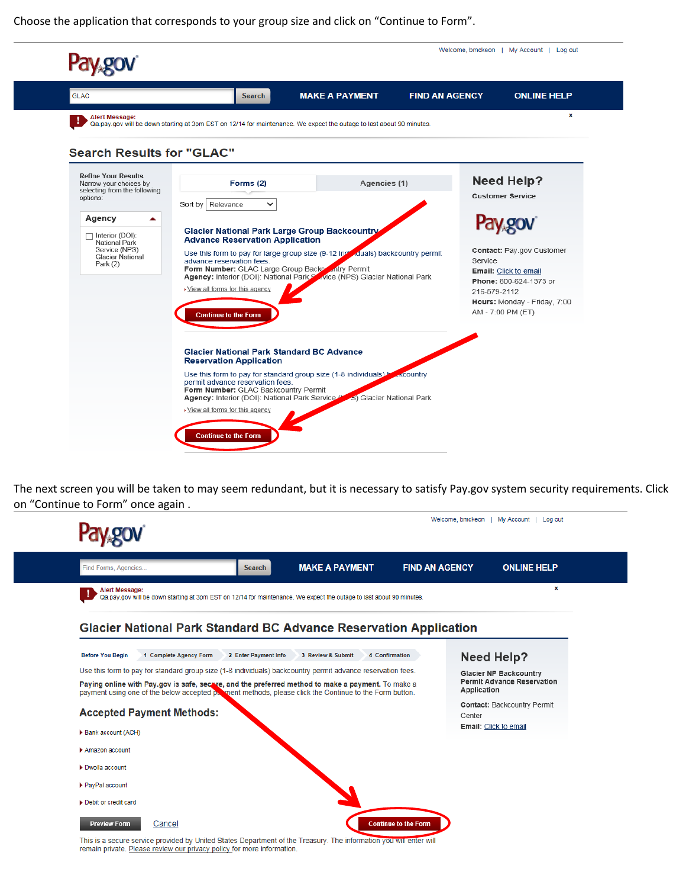Choose the application that corresponds to your group size and click on "Continue to Form".



The next screen you will be taken to may seem redundant, but it is necessary to satisfy Pay.gov system security requirements. Click on "Continue to Form" once again .

|                                                                                                                                                                                                              |                       |                             | Welcome, bmckeon   My Account   Log out                            |
|--------------------------------------------------------------------------------------------------------------------------------------------------------------------------------------------------------------|-----------------------|-----------------------------|--------------------------------------------------------------------|
| <b>Search</b><br>Find Forms, Agencies                                                                                                                                                                        | <b>MAKE A PAYMENT</b> | <b>FIND AN AGENCY</b>       | <b>ONLINE HELP</b>                                                 |
| <b>Alert Message:</b><br>Qa.pay.gov will be down starting at 3pm EST on 12/14 for maintenance. We expect the outage to last about 90 minutes.                                                                |                       |                             | x                                                                  |
| Glacier National Park Standard BC Advance Reservation Application                                                                                                                                            | 3 Review & Submit     |                             |                                                                    |
| 1 Complete Agency Form<br>2 Enter Payment Info<br><b>Before You Begin</b>                                                                                                                                    | 4 Confirmation        |                             | <b>Need Help?</b>                                                  |
| Use this form to pay for standard group size (1-8 individuals) backcountry permit advance reservation fees.                                                                                                  |                       |                             | <b>Glacier NP Backcountry</b><br><b>Permit Advance Reservation</b> |
| Paying online with Pay.gov is safe, secare, and the preferred method to make a payment. To make a<br>payment using one of the below accepted particle methods, please click the Continue to the Form button. |                       | Application                 |                                                                    |
| <b>Accepted Payment Methods:</b>                                                                                                                                                                             |                       |                             | <b>Contact: Backcountry Permit</b>                                 |
|                                                                                                                                                                                                              |                       | Center                      | Email: Click to email                                              |
| Bank account (ACH)                                                                                                                                                                                           |                       |                             |                                                                    |
| $\blacktriangleright$ Amazon account                                                                                                                                                                         |                       |                             |                                                                    |
| $\blacktriangleright$ Dwolla account                                                                                                                                                                         |                       |                             |                                                                    |
| ▶ PayPal account                                                                                                                                                                                             |                       |                             |                                                                    |
| Debit or credit card                                                                                                                                                                                         |                       |                             |                                                                    |
|                                                                                                                                                                                                              |                       |                             |                                                                    |
| <b>Preview Form</b><br>Cancel                                                                                                                                                                                |                       | <b>Continue to the Form</b> |                                                                    |

This is a secure service provided by United States Department of the Treasury. The information you will enter will remain private. Please review our privacy policy for more information.